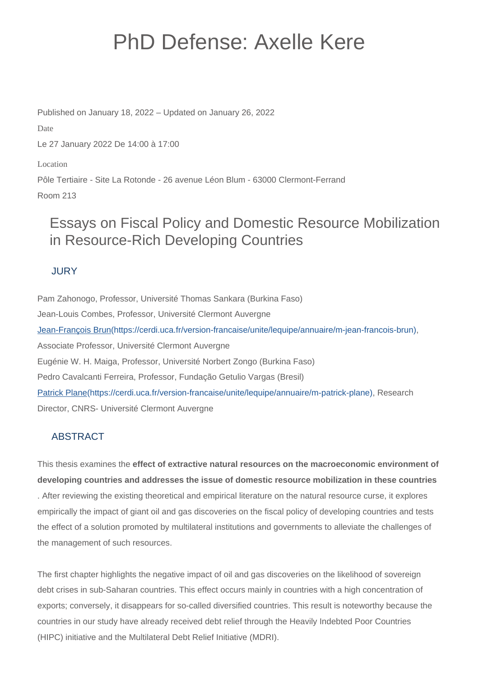# PhD Defense: Axelle Kere

Published on January 18, 2022 – Updated on January 26, 2022

Date

Le 27 January 2022 De 14:00 à 17:00

Location

Pôle Tertiaire - Site La Rotonde - 26 avenue Léon Blum - 63000 Clermont-Ferrand Room 213

## Essays on Fiscal Policy and Domestic Resource Mobilization in Resource-Rich Developing Countries

### JURY

Pam Zahonogo, Professor, Université Thomas Sankara (Burkina Faso) Jean-Louis Combes, Professor, Université Clermont Auvergne [Jean-François Brun\(https://cerdi.uca.fr/version-francaise/unite/lequipe/annuaire/m-jean-francois-brun\),](https://cerdi.uca.fr/version-francaise/unite/lequipe/annuaire/m-jean-francois-brun) Associate Professor, Université Clermont Auvergne Eugénie W. H. Maiga, Professor, Université Norbert Zongo (Burkina Faso) Pedro Cavalcanti Ferreira, Professor, Fundação Getulio Vargas (Bresil) [Patrick Plane\(https://cerdi.uca.fr/version-francaise/unite/lequipe/annuaire/m-patrick-plane\)](https://cerdi.uca.fr/version-francaise/unite/lequipe/annuaire/m-patrick-plane), Research Director, CNRS- Université Clermont Auvergne

## ABSTRACT

This thesis examines the **effect of extractive natural resources on the macroeconomic environment of developing countries and addresses the issue of domestic resource mobilization in these countries** . After reviewing the existing theoretical and empirical literature on the natural resource curse, it explores empirically the impact of giant oil and gas discoveries on the fiscal policy of developing countries and tests the effect of a solution promoted by multilateral institutions and governments to alleviate the challenges of the management of such resources.

The first chapter highlights the negative impact of oil and gas discoveries on the likelihood of sovereign debt crises in sub-Saharan countries. This effect occurs mainly in countries with a high concentration of exports; conversely, it disappears for so-called diversified countries. This result is noteworthy because the countries in our study have already received debt relief through the Heavily Indebted Poor Countries (HIPC) initiative and the Multilateral Debt Relief Initiative (MDRI).